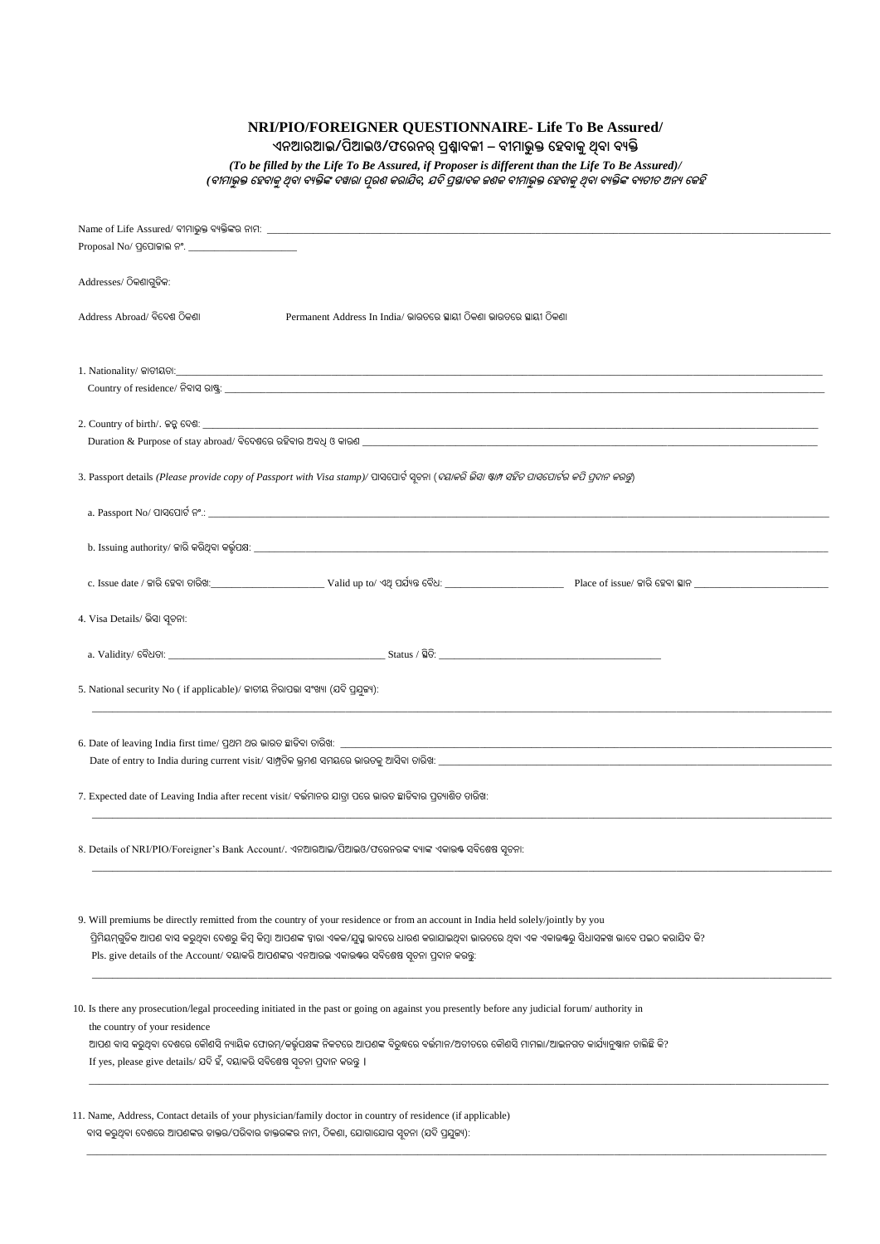**NRI/PIO/FOREIGNER QUESTIONNAIRE- Life To Be Assured/**

**ଏନଆରଆଇ/ପିଆଇଓ/ଫରରନର୍ପ୍ରଶ୍ନାବଳୀ୍– ବୀମାଭୁକ୍ତ ରେବାକୁଥିବା ବୟକ୍ତି**

*(To be filled by the Life To Be Assured, if Proposer is different than the Life To Be Assured)/ (***ବୀମାଭୁକ୍ତ ରେବାକୁଥିବା ବୟକ୍ତିଙ୍କ ଦୱାରା ପୂରଣ୍କରାଯିବ***,* **ଯଦିପ୍ରସ୍ତାବକ ଜଣକ ବୀମାଭୁକ୍ତ ରେବାକୁଥିବା ବୟକ୍ତିଙ୍କ ବୟତୀତ ଅନୟ ରକେି**

| Addresses/ ଠିକଶାଗୁଡିକ:                                                                                                                                                       |  |  |  |  |  |
|------------------------------------------------------------------------------------------------------------------------------------------------------------------------------|--|--|--|--|--|
|                                                                                                                                                                              |  |  |  |  |  |
| Address Abroad/ ବିଦେଶ ଠିକଣା<br>Permanent Address In India/ ଭାରତରେ ସ୍ଥାୟୀ ଠିକଣା ଭାରତରେ ସ୍ଥାୟୀ ଠିକଣା                                                                           |  |  |  |  |  |
|                                                                                                                                                                              |  |  |  |  |  |
|                                                                                                                                                                              |  |  |  |  |  |
|                                                                                                                                                                              |  |  |  |  |  |
|                                                                                                                                                                              |  |  |  |  |  |
|                                                                                                                                                                              |  |  |  |  |  |
| 2. Country of birth/. ଜନ୍ମ ଦେଶ: _____________                                                                                                                                |  |  |  |  |  |
|                                                                                                                                                                              |  |  |  |  |  |
|                                                                                                                                                                              |  |  |  |  |  |
| 3. Passport details (Please provide copy of Passport with Visa stamp)/ ପାସପୋର୍ଟ ସ୍ତକା ( <i>ଦୟାକରି ଭିସା ଷ୍ଟାମ ସହିତ ପାସପୋର୍ଟର କପି ପ୍ରଦାନ କରକୁ</i> )                            |  |  |  |  |  |
|                                                                                                                                                                              |  |  |  |  |  |
|                                                                                                                                                                              |  |  |  |  |  |
|                                                                                                                                                                              |  |  |  |  |  |
|                                                                                                                                                                              |  |  |  |  |  |
|                                                                                                                                                                              |  |  |  |  |  |
|                                                                                                                                                                              |  |  |  |  |  |
|                                                                                                                                                                              |  |  |  |  |  |
| 4. Visa Details/ ଭିସା ସ୍ୱଚନା:                                                                                                                                                |  |  |  |  |  |
|                                                                                                                                                                              |  |  |  |  |  |
|                                                                                                                                                                              |  |  |  |  |  |
|                                                                                                                                                                              |  |  |  |  |  |
| 5. National security No (if applicable)/ ଜାତୀୟ ନିରାପତ୍ତା ସଂଖ୍ୟା (ଯଦି ପ୍ରଯୁଜ୍ୟ):                                                                                              |  |  |  |  |  |
|                                                                                                                                                                              |  |  |  |  |  |
|                                                                                                                                                                              |  |  |  |  |  |
| 6. Date of leaving India first time/ ପ୍ରଥମ ଥର ଭାରତ ଛାଡିବା ତାରିଖ: _______________                                                                                             |  |  |  |  |  |
|                                                                                                                                                                              |  |  |  |  |  |
|                                                                                                                                                                              |  |  |  |  |  |
| 7. Expected date of Leaving India after recent visit/ ବର୍ତ୍ତମାନର ଯାତ୍ରା ପରେ ଭାରତ ଛାଡିବାର ପ୍ରତ୍ୟାଶିତ ତାରିଖ:                                                                   |  |  |  |  |  |
|                                                                                                                                                                              |  |  |  |  |  |
|                                                                                                                                                                              |  |  |  |  |  |
| 8. Details of NRI/PIO/Foreigner's Bank Account/. ଏନଆରଆଇ/ପିଆଇଓ/ଫରେନରଙ୍କ ବ୍ୟାଙ୍କ ଏକାଉଷ ସବିଶେଷ ସ୍ୱତନା:                                                                          |  |  |  |  |  |
|                                                                                                                                                                              |  |  |  |  |  |
|                                                                                                                                                                              |  |  |  |  |  |
| 9. Will premiums be directly remitted from the country of your residence or from an account in India held solely/jointly by you                                              |  |  |  |  |  |
| ପ୍ରିମିୟମ୍ଗୁଡିକ ଆପଣ ବାସ କରୁଥିବା ଦେଶରୁ କିମ୍ବା ଆପଣଙ୍କ ହାରା ଏକକ/ଯୁଗ୍ମ ଭାବରେ ଧାରଣ କରାଯାଇଥିବା ଭାରତରେ ଥିବା ଏକ ଏକାଉଷରୁ ସିଧାସଳଖ ଭାବେ ପଇଠ କରାଯିବ କି?                                   |  |  |  |  |  |
|                                                                                                                                                                              |  |  |  |  |  |
| Pls. give details of the Account/ ଦୟାକରି ଆପଶଙ୍କର ଏନଆରଇ ଏକାଉଷ୍ଟର ସବିଶେଷ ସୂଚନା ପ୍ରଦାନ କରନ୍ତୁ:                                                                                  |  |  |  |  |  |
|                                                                                                                                                                              |  |  |  |  |  |
|                                                                                                                                                                              |  |  |  |  |  |
| 10. Is there any prosecution/legal proceeding initiated in the past or going on against you presently before any judicial forum/ authority in                                |  |  |  |  |  |
| the country of your residence<br>ିଆପଣ ବାସ କରୁଥିବା ଦେଶରେ କୌଶସି ନ୍ୟାୟିକ ଫୋରମ୍/କର୍ଭୂପକ୍ଷଙ୍କ ନିକଟରେ ଆପଶଙ୍କ ବିରୁଦ୍ଧରେ ବର୍ଭମାନ/ଅତୀତରେ କୌଶସି ମାମଲା/ଆଇନଗତ କାର୍ଯ୍ୟାନୁଷ୍ଠାନ ଚାଲିଛି କି? |  |  |  |  |  |
| If yes, please give details/ ଯଦି ହଁ, ଦୟାକରି ସବିଶେଷ ସୂଚନା ପ୍ରଦାନ କରନ୍ତୁ ।                                                                                                     |  |  |  |  |  |
|                                                                                                                                                                              |  |  |  |  |  |
|                                                                                                                                                                              |  |  |  |  |  |
| 11. Name, Address, Contact details of your physician/family doctor in country of residence (if applicable)                                                                   |  |  |  |  |  |
| ବାସ କରୁଥିବା ଦେଶରେ ଆପଶଙ୍କର ଡାକ୍ତର/ପରିବାର ଡାକ୍ତରଙ୍କର ନାମ, ଠିକଣା, ଯୋଗାଯୋଗ ସୂଚନା (ଯଦି ପ୍ରଯୁଜ୍ୟ):                                                                                 |  |  |  |  |  |
|                                                                                                                                                                              |  |  |  |  |  |

\_\_\_\_\_\_\_\_\_\_\_\_\_\_\_\_\_\_\_\_\_\_\_\_\_\_\_\_\_\_\_\_\_\_\_\_\_\_\_\_\_\_\_\_\_\_\_\_\_\_\_\_\_\_\_\_\_\_\_\_\_\_\_\_\_\_\_\_\_\_\_\_\_\_\_\_\_\_\_\_\_\_\_\_\_\_\_\_\_\_\_\_\_\_\_\_\_\_\_\_\_\_\_\_\_\_\_\_\_\_\_\_\_\_\_\_\_\_\_\_\_\_\_\_\_\_\_\_\_\_\_\_\_\_\_\_\_\_\_\_\_\_\_